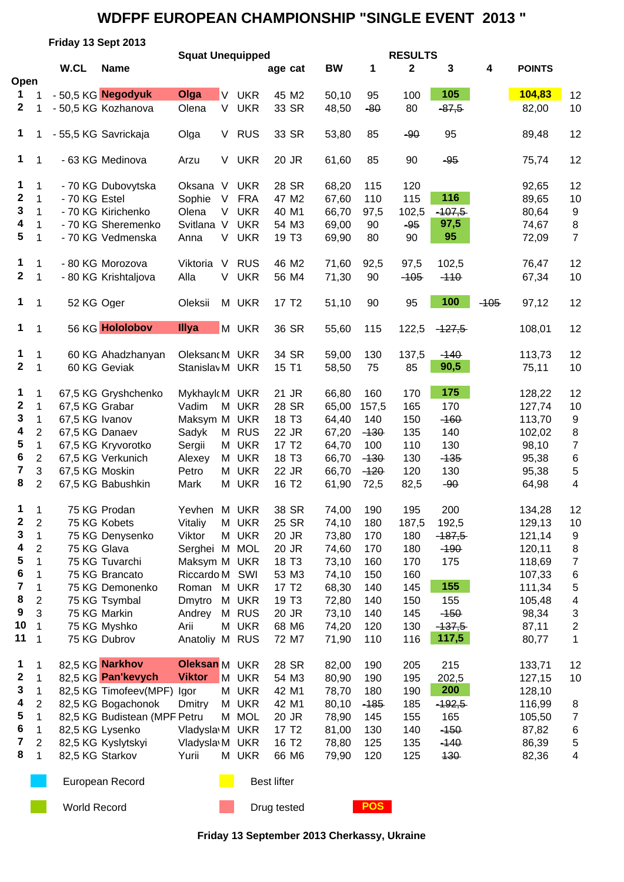## **WDFPF EUROPEAN CHAMPIONSHIP "SINGLE EVENT 2013 "**

|                  |                                | Friday 13 Sept 2013 |                                                  |                                |                                |                            |                |                |                |               |        |                  |                       |
|------------------|--------------------------------|---------------------|--------------------------------------------------|--------------------------------|--------------------------------|----------------------------|----------------|----------------|----------------|---------------|--------|------------------|-----------------------|
|                  |                                | W.CL                |                                                  | <b>Squat Unequipped</b>        |                                |                            |                | <b>RESULTS</b> |                |               |        |                  |                       |
| Open             |                                |                     | <b>Name</b>                                      |                                |                                | age cat                    | <b>BW</b>      | 1              | 2              | 3             | 4      | <b>POINTS</b>    |                       |
| 1                | 1                              |                     | - 50,5 KG Negodyuk                               | Olga<br><b>V</b>               | <b>UKR</b>                     | 45 M2                      | 50,10          | 95             | 100            | 105           |        | 104,83           | 12                    |
| 2                | 1                              |                     | - 50,5 KG Kozhanova                              | Olena                          | V<br><b>UKR</b>                | 33 SR                      | 48,50          | $-80$          | 80             | $-87,5$       |        | 82,00            | 10                    |
|                  |                                |                     |                                                  |                                |                                |                            |                |                |                |               |        |                  |                       |
| 1                | 1                              |                     | - 55,5 KG Savrickaja                             | Olga                           | V<br><b>RUS</b>                | 33 SR                      | 53,80          | 85             | $-90$          | 95            |        | 89,48            | 12                    |
|                  |                                |                     |                                                  |                                |                                |                            |                |                |                |               |        |                  |                       |
| 1                | $\mathbf 1$                    |                     | - 63 KG Medinova                                 | Arzu                           | V UKR                          | 20 JR                      | 61,60          | 85             | 90             | $-95$         |        | 75,74            | 12                    |
|                  |                                |                     |                                                  |                                |                                |                            |                |                |                |               |        |                  |                       |
| 1<br>$\mathbf 2$ | $\mathbf 1$                    |                     | - 70 KG Dubovytska                               | $\vee$<br>Oksana               | <b>UKR</b>                     | 28 SR                      | 68,20          | 115            | 120            | 116           |        | 92,65            | 12                    |
| 3                | $\mathbf 1$<br>$\mathbf 1$     | - 70 KG Estel       | - 70 KG Kirichenko                               | Sophie<br>V<br>Olena           | <b>FRA</b><br>V.<br><b>UKR</b> | 47 M2                      | 67,60<br>66,70 | 110            | 115            | $-107,5$      |        | 89,65<br>80,64   | 10                    |
| 4                | $\mathbf 1$                    |                     | - 70 KG Sheremenko                               | Svitlana V                     | <b>UKR</b>                     | 40 M1<br>54 M3             | 69,00          | 97,5<br>90     | 102,5<br>$-95$ | 97,5          |        | 74,67            | 9<br>8                |
| 5                | 1                              |                     | - 70 KG Vedmenska                                | Anna                           | V UKR                          | 19 T <sub>3</sub>          | 69,90          | 80             | 90             | 95            |        | 72,09            | $\overline{7}$        |
|                  |                                |                     |                                                  |                                |                                |                            |                |                |                |               |        |                  |                       |
| 1                | $\mathbf 1$                    |                     | - 80 KG Morozova                                 | Viktoria<br>V                  | <b>RUS</b>                     | 46 M2                      | 71,60          | 92,5           | 97,5           | 102,5         |        | 76,47            | 12                    |
| $\mathbf{2}$     | $\mathbf 1$                    |                     | - 80 KG Krishtaljova                             | Alla<br>V                      | <b>UKR</b>                     | 56 M4                      | 71,30          | 90             | $-105$         | $-110$        |        | 67,34            | 10                    |
|                  |                                |                     |                                                  |                                |                                |                            |                |                |                |               |        |                  |                       |
| 1                | $\mathbf 1$                    | 52 KG Oger          |                                                  | Oleksii                        | M UKR                          | 17 T <sub>2</sub>          | 51,10          | 90             | 95             | 100           | $-105$ | 97,12            | 12                    |
|                  |                                |                     |                                                  |                                |                                |                            |                |                |                |               |        |                  |                       |
| 1                | 1                              |                     | 56 KG Hololobov                                  | Illya                          | M UKR                          | 36 SR                      | 55,60          | 115            | 122,5          | $-127,5$      |        | 108,01           | 12                    |
|                  |                                |                     |                                                  |                                |                                |                            |                |                |                |               |        |                  |                       |
| 1                | 1                              |                     | 60 KG Ahadzhanyan                                | Oleksand M UKR                 |                                | 34 SR                      | 59,00          | 130            | 137,5          | $-140$        |        | 113,73           | 12                    |
| $\mathbf{2}$     | 1                              |                     | 60 KG Geviak                                     | StanislavM UKR                 |                                | 15 T1                      | 58,50          | 75             | 85             | 90,5          |        | 75,11            | 10                    |
|                  |                                |                     |                                                  |                                |                                |                            |                |                |                | 175           |        |                  |                       |
| 1<br>$\mathbf 2$ | $\mathbf 1$                    |                     | 67,5 KG Gryshchenko                              | MykhayldM UKR                  |                                | 21 JR                      | 66,80          | 160            | 170            |               |        | 128,22           | 12                    |
| 3                | $\mathbf 1$                    | 67,5 KG Grabar      |                                                  | Vadim                          | M UKR                          | 28 SR                      | 65,00          | 157,5          | 165            | 170           |        | 127,74           | 10                    |
| 4                | $\mathbf{1}$<br>$\overline{2}$ | 67,5 KG Ivanov      |                                                  | Maksym M UKR                   | M RUS                          | 18 T <sub>3</sub><br>22 JR | 64,40<br>67,20 | 140            | 150<br>135     | $-160$<br>140 |        | 113,70           | 9                     |
| 5                | $\mathbf{1}$                   | 67,5 KG Danaev      |                                                  | Sadyk<br>Sergii                | M UKR                          | 17 T <sub>2</sub>          | 64,70          | $-130$<br>100  | 110            | 130           |        | 102,02<br>98,10  | 8<br>$\boldsymbol{7}$ |
| 6                | $\overline{c}$                 |                     | 67,5 KG Kryvorotko<br>67,5 KG Verkunich          | Alexey                         | M UKR                          | 18 T <sub>3</sub>          | 66,70          | $-130$         | 130            | $-135$        |        | 95,38            |                       |
| 7                | 3                              | 67,5 KG Moskin      |                                                  | Petro                          | M UKR                          | 22 JR                      | 66,70          | $-120$         | 120            | 130           |        | 95,38            | 6<br>5                |
| 8                | $\overline{2}$                 |                     | 67,5 KG Babushkin                                | Mark                           | M UKR                          | 16 T <sub>2</sub>          | 61,90          | 72,5           | 82,5           | $-90$         |        | 64,98            | 4                     |
|                  |                                |                     |                                                  |                                |                                |                            |                |                |                |               |        |                  |                       |
| $1 \quad 1$      |                                |                     | 75 KG Prodan                                     | Yevhen M UKR                   |                                | 38 SR                      | 74,00          | 190            | 195            | 200           |        | 134,28           | 12                    |
| 2                | $\overline{2}$                 |                     | 75 KG Kobets                                     | Vitaliy                        | M UKR                          | 25 SR                      | 74,10          | 180            | 187,5          | 192,5         |        | 129,13           | 10                    |
| 3                | $\mathbf 1$                    |                     | 75 KG Denysenko                                  | Viktor                         | M UKR                          | 20 JR                      | 73,80          | 170            | 180            | $-187,5$      |        | 121,14           | 9                     |
| 4                | $\overline{2}$                 | 75 KG Glava         |                                                  | Serghei M MOL                  |                                | 20 JR                      | 74,60          | 170            | 180            | $-190$        |        | 120,11           | 8                     |
| 5                | 1                              |                     | 75 KG Tuvarchi                                   | Maksym M UKR                   |                                | 18 T <sub>3</sub>          | 73,10          | 160            | 170            | 175           |        | 118,69           | $\overline{7}$        |
| 6                | 1                              |                     | 75 KG Brancato                                   | Riccardo M SWI                 |                                | 53 M3                      | 74,10          | 150            | 160            |               |        | 107,33           | 6                     |
| 7                | $\mathbf 1$                    |                     | 75 KG Demonenko                                  | Roman M UKR                    |                                | 17 T <sub>2</sub>          | 68,30          | 140            | 145            | 155           |        | 111,34           | 5                     |
| 8                | $\mathbf{2}$                   |                     | 75 KG Tsymbal                                    | Dmytro                         | M UKR                          | 19 T <sub>3</sub>          | 72,80          | 140            | 150            | 155           |        | 105,48           | 4                     |
| 9                | 3                              |                     | 75 KG Markin                                     | Andrey                         | M RUS                          | 20 JR                      | 73,10          | 140            | 145            | $-150$        |        | 98,34            | 3                     |
| 10               | 1                              |                     | 75 KG Myshko                                     | Arii                           | M UKR                          | 68 M6                      | 74,20          | 120            | 130            | $-137,5$      |        | 87,11            | $\overline{2}$        |
| 11               | 1                              |                     | 75 KG Dubrov                                     | Anatoliy M RUS                 |                                | 72 M7                      | 71,90          | 110            | 116            | 117,5         |        | 80,77            | 1                     |
|                  |                                |                     |                                                  |                                |                                |                            |                |                |                |               |        |                  |                       |
| 1<br>$\mathbf 2$ | 1                              |                     | 82,5 KG Narkhov                                  | Oleksan M UKR<br><b>Viktor</b> |                                | 28 SR                      | 82,00          | 190            | 205            | 215           |        | 133,71           | 12                    |
| 3                | 1                              |                     | 82,5 KG Pan'kevych                               |                                | M UKR<br>M UKR                 | 54 M3                      | 80,90          | 190            | 195            | 202,5<br>200  |        | 127,15           | 10                    |
| 4                | 1<br>$\mathbf{2}$              |                     | 82,5 KG Timofeev(MPF) Igor<br>82,5 KG Bogachonok | Dmitry                         | M UKR                          | 42 M1<br>42 M1             | 78,70<br>80,10 | 180<br>$-185$  | 190<br>185     | $-192,5$      |        | 128,10<br>116,99 |                       |
| 5                | $\mathbf 1$                    |                     | 82,5 KG Budistean (MPF Petru                     |                                | M MOL                          | 20 JR                      | 78,90          | 145            | 155            | 165           |        | 105,50           | 8<br>$\overline{7}$   |
| 6                | $\mathbf 1$                    |                     | 82,5 KG Lysenko                                  | Vladysla M UKR                 |                                | 17 T <sub>2</sub>          | 81,00          | 130            | 140            | $-150$        |        | 87,82            | 6                     |
| 7                | $\overline{2}$                 |                     | 82,5 KG Kyslytskyi                               | Vladysla M UKR                 |                                | 16 T <sub>2</sub>          | 78,80          | 125            | 135            | $-140$        |        | 86,39            | 5                     |
| 8                | 1                              | 82,5 KG Starkov     |                                                  | Yurii                          | M UKR                          | 66 M6                      | 79,90          | 120            | 125            | 130           |        | 82,36            | $\overline{4}$        |
|                  |                                |                     |                                                  |                                |                                |                            |                |                |                |               |        |                  |                       |
|                  |                                |                     | European Record                                  |                                |                                | <b>Best lifter</b>         |                |                |                |               |        |                  |                       |
|                  |                                |                     |                                                  |                                |                                |                            |                |                |                |               |        |                  |                       |
|                  |                                | <b>World Record</b> |                                                  |                                |                                | Drug tested                |                | <b>POS</b>     |                |               |        |                  |                       |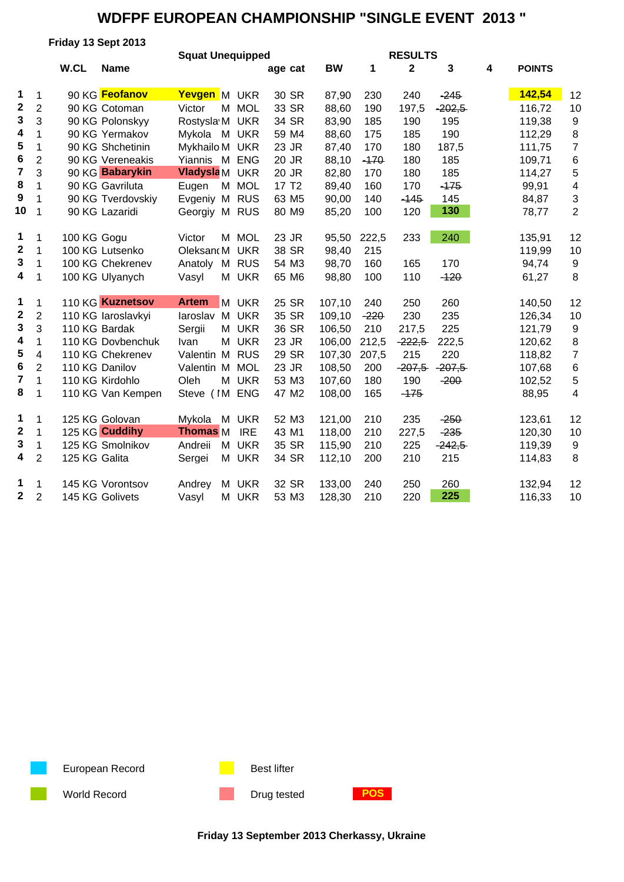## **WDFPF EUROPEAN CHAMPIONSHIP "SINGLE EVENT 2013 "**

|                         |                | Friday 13 Sept 2013 |                    |                         |            |                   |           |        |                |          |   |               |                  |
|-------------------------|----------------|---------------------|--------------------|-------------------------|------------|-------------------|-----------|--------|----------------|----------|---|---------------|------------------|
|                         |                |                     |                    | <b>Squat Unequipped</b> |            |                   |           |        | <b>RESULTS</b> |          |   |               |                  |
|                         |                | W.CL                | <b>Name</b>        |                         |            | age cat           | <b>BW</b> | 1      | $\mathbf 2$    | 3        | 4 | <b>POINTS</b> |                  |
| 1                       | $\mathbf{1}$   |                     | 90 KG Feofanov     | Yevgen M UKR            |            | 30 SR             | 87,90     | 230    | 240            | $-245$   |   | 142,54        | 12               |
| $\mathbf 2$             | $\overline{2}$ |                     | 90 KG Cotoman      | Victor                  | M MOL      | 33 SR             | 88,60     | 190    | 197,5          | $-202,5$ |   | 116,72        | 10               |
| 3                       | 3              |                     | 90 KG Polonskyy    | Rostysla M UKR          |            | 34 SR             | 83,90     | 185    | 190            | 195      |   | 119,38        | 9                |
| $\overline{\mathbf{4}}$ | $\mathbf{1}$   |                     | 90 KG Yermakov     | Mykola M UKR            |            | 59 M4             | 88,60     | 175    | 185            | 190      |   | 112,29        | 8                |
| 5                       | 1              |                     | 90 KG Shchetinin   | Mykhailo M UKR          |            | 23 JR             | 87,40     | 170    | 180            | 187,5    |   | 111,75        | $\overline{7}$   |
| 6                       | $\mathbf{2}$   |                     | 90 KG Vereneakis   | Yiannis M ENG           |            | 20 JR             | 88,10     | $-170$ | 180            | 185      |   | 109,71        | 6                |
| $\overline{7}$          | 3              |                     | 90 KG Babarykin    | <b>Vladysla</b> M UKR   |            | 20 JR             | 82,80     | 170    | 180            | 185      |   | 114,27        | 5                |
| 8                       | 1              |                     | 90 KG Gavriluta    | Eugen                   | M MOL      | 17 T <sub>2</sub> | 89,40     | 160    | 170            | $-175$   |   | 99,91         | 4                |
| 9                       | 1              |                     | 90 KG Tverdovskiy  | Evgeniy M RUS           |            | 63 M <sub>5</sub> | 90,00     | 140    | $-145$         | 145      |   | 84,87         | 3                |
| 10                      | 1              |                     | 90 KG Lazaridi     | Georgiy M RUS           |            | 80 M9             | 85,20     | 100    | 120            | 130      |   | 78,77         | $\overline{2}$   |
| 1                       | 1              | 100 KG Gogu         |                    | Victor                  | M MOL      | 23 JR             | 95,50     | 222,5  | 233            | 240      |   | 135,91        | 12               |
| $\boldsymbol{2}$        | $\mathbf{1}$   |                     | 100 KG Lutsenko    | OleksandM UKR           |            | 38 SR             | 98,40     | 215    |                |          |   | 119,99        | 10               |
| 3                       | 1              |                     | 100 KG Chekrenev   | Anatoly                 | M RUS      | 54 M3             | 98,70     | 160    | 165            | 170      |   | 94,74         | 9                |
| 4                       | $\mathbf 1$    |                     | 100 KG Ulyanych    | Vasyl                   | M UKR      | 65 M6             | 98,80     | 100    | 110            | $-120$   |   | 61,27         | 8                |
|                         |                |                     |                    |                         |            |                   |           |        |                |          |   |               |                  |
| 1                       | 1              |                     | 110 KG Kuznetsov   | <b>Artem</b>            | M UKR      | 25 SR             | 107,10    | 240    | 250            | 260      |   | 140,50        | 12               |
| $\mathbf 2$             | $\overline{2}$ |                     | 110 KG laroslavkyi | laroslav                | M UKR      | 35 SR             | 109,10    | $-220$ | 230            | 235      |   | 126,34        | 10               |
| 3                       | 3              | 110 KG Bardak       |                    | Sergii                  | M UKR      | 36 SR             | 106,50    | 210    | 217,5          | 225      |   | 121,79        | $\boldsymbol{9}$ |
| 4                       | 1              |                     | 110 KG Dovbenchuk  | Ivan                    | M UKR      | 23 JR             | 106,00    | 212,5  | $-222,5$       | 222,5    |   | 120,62        | 8                |
| 5                       | 4              |                     | 110 KG Chekrenev   | Valentin M              | <b>RUS</b> | 29 SR             | 107,30    | 207,5  | 215            | 220      |   | 118,82        | $\overline{7}$   |
| 6                       | $\overline{2}$ | 110 KG Danilov      |                    | Valentin M MOL          |            | 23 JR             | 108,50    | 200    | $-207,5$       | $-207,5$ |   | 107,68        | 6                |
| $\overline{\mathbf{7}}$ | 1              |                     | 110 KG Kirdohlo    | Oleh<br>М               | <b>UKR</b> | 53 M3             | 107,60    | 180    | 190            | $-200$   |   | 102,52        | 5                |
| 8                       | 1              |                     | 110 KG Van Kempen  | Steve (IM ENG           |            | 47 M2             | 108,00    | 165    | $-175$         |          |   | 88,95         | 4                |
| 1                       | 1              |                     | 125 KG Golovan     | Mykola<br>M             | <b>UKR</b> | 52 M3             | 121,00    | 210    | 235            | $-250$   |   | 123,61        | 12               |
| $\boldsymbol{2}$        | $\mathbf{1}$   |                     | 125 KG Cuddihy     | <b>Thomas</b> M         | <b>IRE</b> | 43 M1             | 118,00    | 210    | 227,5          | $-235$   |   | 120,30        | 10               |
| 3                       | $\mathbf{1}$   |                     | 125 KG Smolnikov   | Andreii                 | M UKR      | 35 SR             | 115,90    | 210    | 225            | $-242,5$ |   | 119,39        | 9                |
| 4                       | $\overline{2}$ | 125 KG Galita       |                    | Sergei                  | M UKR      | 34 SR             | 112,10    | 200    | 210            | 215      |   | 114,83        | 8                |
|                         |                |                     |                    |                         |            |                   |           |        |                |          |   |               |                  |
| 1                       | 1              |                     | 145 KG Vorontsov   | Andrey                  | M UKR      | 32 SR             | 133,00    | 240    | 250            | 260      |   | 132,94        | 12               |
| $\mathbf 2$             | $\overline{2}$ |                     | 145 KG Golivets    | Vasyl                   | M UKR      | 53 M3             | 128,30    | 210    | 220            | 225      |   | 116,33        | 10               |



World Record **Drug tested POS**